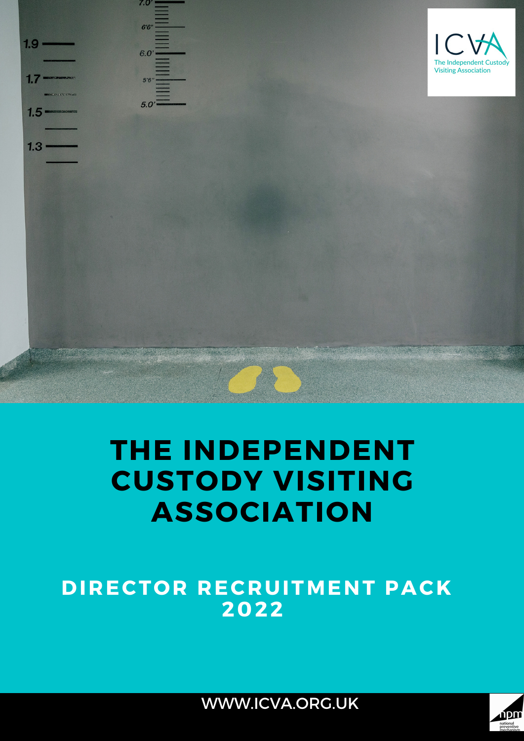

# **THE INDEPENDENT CUSTODY VISITING ASSOCIATION**

**DIRECTOR RECRUITMENT PACK 2022**



WWW.ICVA.ORG.UK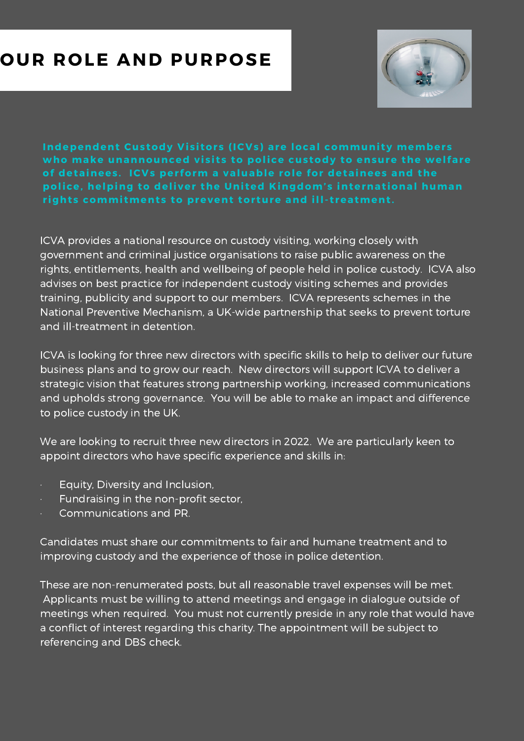### **OUR ROLE AND PURPOSE**



**Independent Custody Visitors (ICVs) are local community members who make unannounced vi s i t s to police cus tody to ensure the welfare of detainees . ICVs per form a valuable role for detainees and the police, helping to deliver the Uni ted Kingdom' s internat ional human** *rights commitments to prevent torture and ill-treatment.* 

ICVA provides a national resource on custody visiting, working closely with government and criminal justice organisations to raise public awareness on the rights, entitlements, health and wellbeing of people held in police custody. ICVA also advises on best practice for independent custody visiting schemes and provides training, publicity and support to our members. ICVA represents schemes in the National Preventive Mechanism, a UK-wide partnership that seeks to prevent torture and ill-treatment in detention.

ICVA is looking for three new directors with specific skills to help to deliver our future business plans and to grow our reach. New directors will support ICVA to deliver a strategic vision that features strong partnership working, increased communications and upholds strong governance. You will be able to make an impact and difference to police custody in the UK.

We are looking to recruit three new directors in 2022. We are particularly keen to appoint directors who have specific experience and skills in:

- · Equity, Diversity and Inclusion,
- · Fundraising in the non-profit sector,
- Communications and PR.

Candidates must share our commitments to fair and humane treatment and to improving custody and the experience of those in police detention.

These are non-renumerated posts, but all reasonable travel expenses will be met. Applicants must be willing to attend meetings and engage in dialogue outside of meetings when required. You must not currently preside in any role that would have a conflict of interest regarding this charity. The appointment will be subject to referencing and DBS check.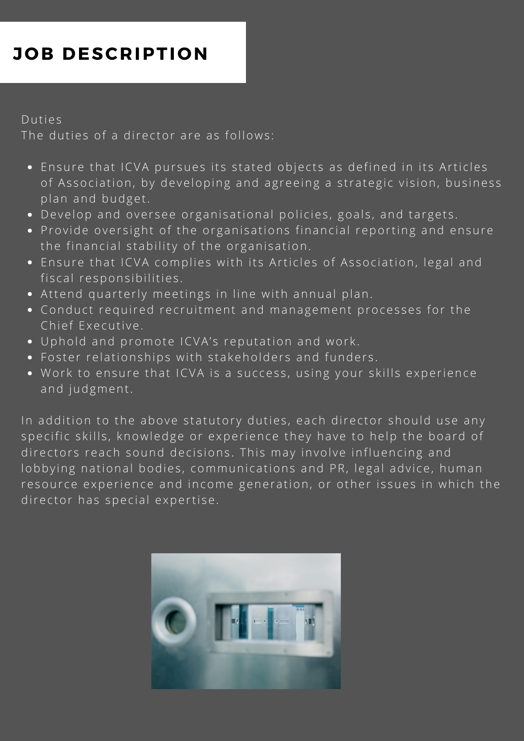### **JOB DESCRIPTION**

#### Duties

The duties of a director are as follows:

- . Ensure that ICVA pursues its stated objects as defined in its Articles of Association, by developing and agreeing a strategic vision, business plan and budget.
- Develop and oversee organisational policies, goals, and targets.
- Provide oversight of the organisations financial reporting and ensure the financial stability of the organisation.
- Ensure that ICVA complies with its Articles of Association, legal and fiscal responsibilities.
- Attend quarterly meetings in line with annual plan.
- Conduct required recruitment and management processes for the Chief Executive.
- Uphold and promote ICVA's reputation and work.
- Foster relationships with stakeholders and funders.
- Work to ensure that ICVA is a success, using your skills experience and judgment.

In addition to the above statutory duties, each director should use any specific skills, knowledge or experience they have to help the board of directors reach sound decisions. This may involve influencing and lobbying national bodies, communications and PR, legal advice, human resource experience and income generation, or other issues in which the director has special expertise.

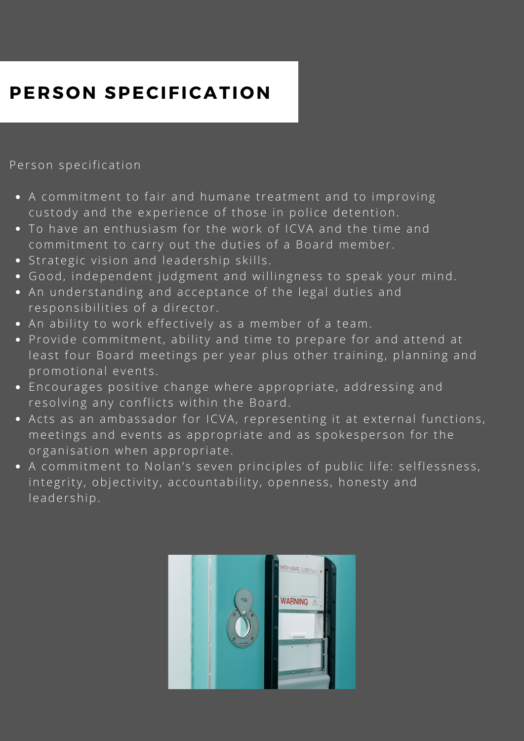## **PERSON SPECIFICATION**

Person specification

- A commitment to fair and humane treatment and to improving custody and the experience of those in police detention.
- To have an enthusiasm for the work of ICVA and the time and commitment to carry out the duties of a Board member.
- Strategic vision and leadership skills.
- Good, independent judgment and willingness to speak your mind.
- An understanding and acceptance of the legal duties and responsibilities of a director.
- An ability to work effectively as a member of a team.
- Provide commitment, ability and time to prepare for and attend at least four Board meetings per year plus other training, planning and promotional events.
- Encourages positive change where appropriate, addressing and resolving any conflicts within the Board.
- Acts as an ambassador for ICVA, representing it at external functions, meetings and events as appropriate and as spokesperson for the organisation when appropriate.
- A commitment to Nolan's seven principles of public life: selflessness, integrity, objectivity, accountability, openness, honesty and leadership.